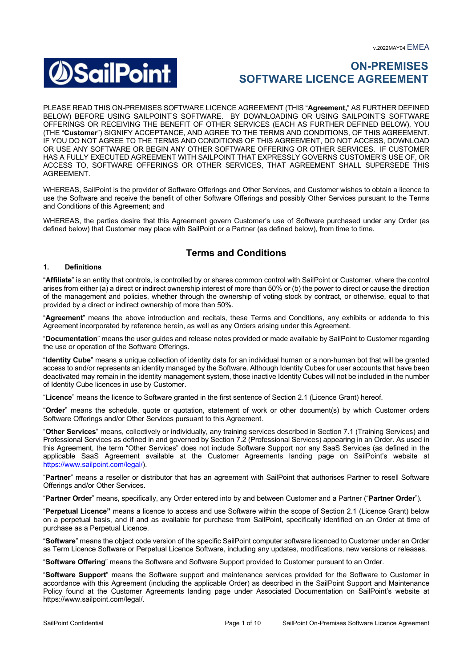

# **ON-PREMISES SOFTWARE LICENCE AGREEMENT**

PLEASE READ THIS ON-PREMISES SOFTWARE LICENCE AGREEMENT (THIS "**Agreement,**" AS FURTHER DEFINED BELOW) BEFORE USING SAILPOINT'S SOFTWARE. BY DOWNLOADING OR USING SAILPOINT'S SOFTWARE OFFERINGS OR RECEIVING THE BENEFIT OF OTHER SERVICES (EACH AS FURTHER DEFINED BELOW), YOU (THE "**Customer**") SIGNIFY ACCEPTANCE, AND AGREE TO THE TERMS AND CONDITIONS, OF THIS AGREEMENT. IF YOU DO NOT AGREE TO THE TERMS AND CONDITIONS OF THIS AGREEMENT, DO NOT ACCESS, DOWNLOAD OR USE ANY SOFTWARE OR BEGIN ANY OTHER SOFTWARE OFFERING OR OTHER SERVICES. IF CUSTOMER HAS A FULLY EXECUTED AGREEMENT WITH SAILPOINT THAT EXPRESSLY GOVERNS CUSTOMER'S USE OF, OR ACCESS TO, SOFTWARE OFFERINGS OR OTHER SERVICES, THAT AGREEMENT SHALL SUPERSEDE THIS AGREEMENT.

WHEREAS, SailPoint is the provider of Software Offerings and Other Services, and Customer wishes to obtain a licence to use the Software and receive the benefit of other Software Offerings and possibly Other Services pursuant to the Terms and Conditions of this Agreement; and

WHEREAS, the parties desire that this Agreement govern Customer's use of Software purchased under any Order (as defined below) that Customer may place with SailPoint or a Partner (as defined below), from time to time.

# **Terms and Conditions**

#### **1. Definitions**

"**Affiliate**" is an entity that controls, is controlled by or shares common control with SailPoint or Customer, where the control arises from either (a) a direct or indirect ownership interest of more than 50% or (b) the power to direct or cause the direction of the management and policies, whether through the ownership of voting stock by contract, or otherwise, equal to that provided by a direct or indirect ownership of more than 50%.

"**Agreement**" means the above introduction and recitals, these Terms and Conditions, any exhibits or addenda to this Agreement incorporated by reference herein, as well as any Orders arising under this Agreement.

"**Documentation**" means the user guides and release notes provided or made available by SailPoint to Customer regarding the use or operation of the Software Offerings.

"**Identity Cube**" means a unique collection of identity data for an individual human or a non-human bot that will be granted access to and/or represents an identity managed by the Software. Although Identity Cubes for user accounts that have been deactivated may remain in the identity management system, those inactive Identity Cubes will not be included in the number of Identity Cube licences in use by Customer.

"**Licence**" means the licence to Software granted in the first sentence of Section 2.1 (Licence Grant) hereof.

"**Order**" means the schedule, quote or quotation, statement of work or other document(s) by which Customer orders Software Offerings and/or Other Services pursuant to this Agreement.

"**Other Services**" means, collectively or individually, any training services described in Section 7.1 (Training Services) and Professional Services as defined in and governed by Section 7.2 (Professional Services) appearing in an Order. As used in this Agreement, the term "Other Services" does not include Software Support nor any SaaS Services (as defined in the applicable SaaS Agreement available at the Customer Agreements landing page on SailPoint's website at https://www.sailpoint.com/legal/).

"**Partner**" means a reseller or distributor that has an agreement with SailPoint that authorises Partner to resell Software Offerings and/or Other Services.

"**Partner Order**" means, specifically, any Order entered into by and between Customer and a Partner ("**Partner Order**").

"**Perpetual Licence"** means a licence to access and use Software within the scope of Section 2.1 (Licence Grant) below on a perpetual basis, and if and as available for purchase from SailPoint, specifically identified on an Order at time of purchase as a Perpetual Licence.

"**Software**" means the object code version of the specific SailPoint computer software licenced to Customer under an Order as Term Licence Software or Perpetual Licence Software, including any updates, modifications, new versions or releases.

"**Software Offering**" means the Software and Software Support provided to Customer pursuant to an Order.

"**Software Support**" means the Software support and maintenance services provided for the Software to Customer in accordance with this Agreement (including the applicable Order) as described in the SailPoint Support and Maintenance Policy found at the Customer Agreements landing page under Associated Documentation on SailPoint's website at https://www.sailpoint.com/legal/.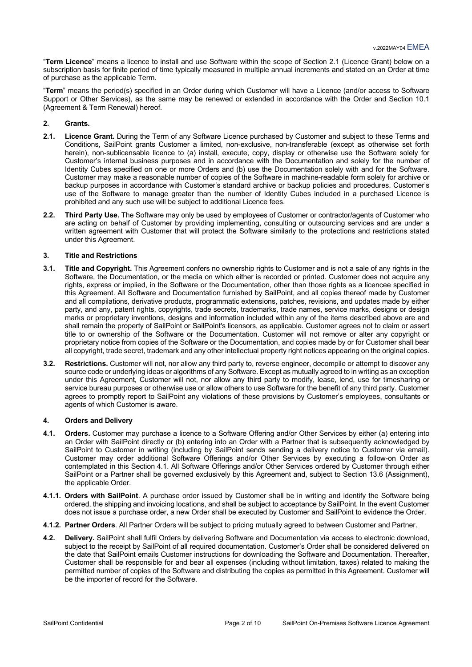"**Term Licence**" means a licence to install and use Software within the scope of Section 2.1 (Licence Grant) below on a subscription basis for finite period of time typically measured in multiple annual increments and stated on an Order at time of purchase as the applicable Term.

"**Term**" means the period(s) specified in an Order during which Customer will have a Licence (and/or access to Software Support or Other Services), as the same may be renewed or extended in accordance with the Order and Section 10.1 (Agreement & Term Renewal) hereof.

# **2. Grants.**

- **2.1. Licence Grant.** During the Term of any Software Licence purchased by Customer and subject to these Terms and Conditions, SailPoint grants Customer a limited, non-exclusive, non-transferable (except as otherwise set forth herein), non-sublicensable licence to (a) install, execute, copy, display or otherwise use the Software solely for Customer's internal business purposes and in accordance with the Documentation and solely for the number of Identity Cubes specified on one or more Orders and (b) use the Documentation solely with and for the Software. Customer may make a reasonable number of copies of the Software in machine-readable form solely for archive or backup purposes in accordance with Customer's standard archive or backup policies and procedures. Customer's use of the Software to manage greater than the number of Identity Cubes included in a purchased Licence is prohibited and any such use will be subject to additional Licence fees.
- **2.2. Third Party Use.** The Software may only be used by employees of Customer or contractor/agents of Customer who are acting on behalf of Customer by providing implementing, consulting or outsourcing services and are under a written agreement with Customer that will protect the Software similarly to the protections and restrictions stated under this Agreement.

# **3. Title and Restrictions**

- **3.1. Title and Copyright.** This Agreement confers no ownership rights to Customer and is not a sale of any rights in the Software, the Documentation, or the media on which either is recorded or printed. Customer does not acquire any rights, express or implied, in the Software or the Documentation, other than those rights as a licencee specified in this Agreement. All Software and Documentation furnished by SailPoint, and all copies thereof made by Customer and all compilations, derivative products, programmatic extensions, patches, revisions, and updates made by either party, and any, patent rights, copyrights, trade secrets, trademarks, trade names, service marks, designs or design marks or proprietary inventions, designs and information included within any of the items described above are and shall remain the property of SailPoint or SailPoint's licensors, as applicable. Customer agrees not to claim or assert title to or ownership of the Software or the Documentation. Customer will not remove or alter any copyright or proprietary notice from copies of the Software or the Documentation, and copies made by or for Customer shall bear all copyright, trade secret, trademark and any other intellectual property right notices appearing on the original copies.
- **3.2. Restrictions.** Customer will not, nor allow any third party to, reverse engineer, decompile or attempt to discover any source code or underlying ideas or algorithms of any Software. Except as mutually agreed to in writing as an exception under this Agreement, Customer will not, nor allow any third party to modify, lease, lend, use for timesharing or service bureau purposes or otherwise use or allow others to use Software for the benefit of any third party. Customer agrees to promptly report to SailPoint any violations of these provisions by Customer's employees, consultants or agents of which Customer is aware.

# **4. Orders and Delivery**

- **4.1. Orders.** Customer may purchase a licence to a Software Offering and/or Other Services by either (a) entering into an Order with SailPoint directly or (b) entering into an Order with a Partner that is subsequently acknowledged by SailPoint to Customer in writing (including by SailPoint sends sending a delivery notice to Customer via email). Customer may order additional Software Offerings and/or Other Services by executing a follow-on Order as contemplated in this Section 4.1. All Software Offerings and/or Other Services ordered by Customer through either SailPoint or a Partner shall be governed exclusively by this Agreement and, subject to Section 13.6 (Assignment), the applicable Order.
- **4.1.1. Orders with SailPoint**. A purchase order issued by Customer shall be in writing and identify the Software being ordered, the shipping and invoicing locations, and shall be subject to acceptance by SailPoint. In the event Customer does not issue a purchase order, a new Order shall be executed by Customer and SailPoint to evidence the Order.
- **4.1.2. Partner Orders**. All Partner Orders will be subject to pricing mutually agreed to between Customer and Partner.
- **4.2. Delivery.** SailPoint shall fulfil Orders by delivering Software and Documentation via access to electronic download, subject to the receipt by SailPoint of all required documentation. Customer's Order shall be considered delivered on the date that SailPoint emails Customer instructions for downloading the Software and Documentation. Thereafter, Customer shall be responsible for and bear all expenses (including without limitation, taxes) related to making the permitted number of copies of the Software and distributing the copies as permitted in this Agreement. Customer will be the importer of record for the Software.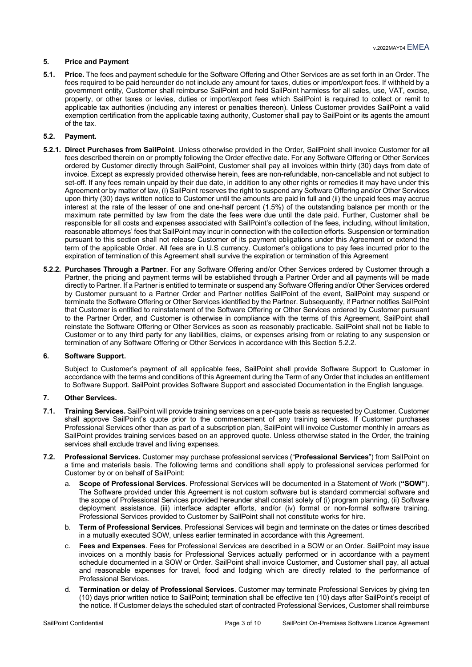# **5. Price and Payment**

**5.1. Price.** The fees and payment schedule for the Software Offering and Other Services are as set forth in an Order. The fees required to be paid hereunder do not include any amount for taxes, duties or import/export fees. If withheld by a government entity, Customer shall reimburse SailPoint and hold SailPoint harmless for all sales, use, VAT, excise, property, or other taxes or levies, duties or import/export fees which SailPoint is required to collect or remit to applicable tax authorities (including any interest or penalties thereon). Unless Customer provides SailPoint a valid exemption certification from the applicable taxing authority, Customer shall pay to SailPoint or its agents the amount of the tax.

#### **5.2. Payment.**

- **5.2.1. Direct Purchases from SailPoint**. Unless otherwise provided in the Order, SailPoint shall invoice Customer for all fees described therein on or promptly following the Order effective date. For any Software Offering or Other Services ordered by Customer directly through SailPoint, Customer shall pay all invoices within thirty (30) days from date of invoice. Except as expressly provided otherwise herein, fees are non-refundable, non-cancellable and not subject to set-off. If any fees remain unpaid by their due date, in addition to any other rights or remedies it may have under this Agreement or by matter of law, (i) SailPoint reserves the right to suspend any Software Offering and/or Other Services upon thirty (30) days written notice to Customer until the amounts are paid in full and (ii) the unpaid fees may accrue interest at the rate of the lesser of one and one-half percent (1.5%) of the outstanding balance per month or the maximum rate permitted by law from the date the fees were due until the date paid. Further, Customer shall be responsible for all costs and expenses associated with SailPoint's collection of the fees, including, without limitation, reasonable attorneys' fees that SailPoint may incur in connection with the collection efforts. Suspension or termination pursuant to this section shall not release Customer of its payment obligations under this Agreement or extend the term of the applicable Order. All fees are in U.S currency. Customer's obligations to pay fees incurred prior to the expiration of termination of this Agreement shall survive the expiration or termination of this Agreement
- **5.2.2. Purchases Through a Partner**. For any Software Offering and/or Other Services ordered by Customer through a Partner, the pricing and payment terms will be established through a Partner Order and all payments will be made directly to Partner. If a Partner is entitled to terminate or suspend any Software Offering and/or Other Services ordered by Customer pursuant to a Partner Order and Partner notifies SailPoint of the event, SailPoint may suspend or terminate the Software Offering or Other Services identified by the Partner. Subsequently, if Partner notifies SailPoint that Customer is entitled to reinstatement of the Software Offering or Other Services ordered by Customer pursuant to the Partner Order, and Customer is otherwise in compliance with the terms of this Agreement, SailPoint shall reinstate the Software Offering or Other Services as soon as reasonably practicable. SailPoint shall not be liable to Customer or to any third party for any liabilities, claims, or expenses arising from or relating to any suspension or termination of any Software Offering or Other Services in accordance with this Section 5.2.2.

#### **6. Software Support.**

Subject to Customer's payment of all applicable fees, SailPoint shall provide Software Support to Customer in accordance with the terms and conditions of this Agreement during the Term of any Order that includes an entitlement to Software Support. SailPoint provides Software Support and associated Documentation in the English language.

#### **7. Other Services.**

- **7.1. Training Services.** SailPoint will provide training services on a per-quote basis as requested by Customer. Customer shall approve SailPoint's quote prior to the commencement of any training services. If Customer purchases Professional Services other than as part of a subscription plan, SailPoint will invoice Customer monthly in arrears as SailPoint provides training services based on an approved quote. Unless otherwise stated in the Order, the training services shall exclude travel and living expenses.
- **7.2. Professional Services.** Customer may purchase professional services ("**Professional Services**") from SailPoint on a time and materials basis. The following terms and conditions shall apply to professional services performed for Customer by or on behalf of SailPoint:
	- a. **Scope of Professional Services**. Professional Services will be documented in a Statement of Work (**"SOW"**). The Software provided under this Agreement is not custom software but is standard commercial software and the scope of Professional Services provided hereunder shall consist solely of (i) program planning, (ii) Software deployment assistance, (iii) interface adapter efforts, and/or (iv) formal or non-formal software training. Professional Services provided to Customer by SailPoint shall not constitute works for hire.
	- b. **Term of Professional Services**. Professional Services will begin and terminate on the dates or times described in a mutually executed SOW, unless earlier terminated in accordance with this Agreement.
	- c. **Fees and Expenses**. Fees for Professional Services are described in a SOW or an Order. SailPoint may issue invoices on a monthly basis for Professional Services actually performed or in accordance with a payment schedule documented in a SOW or Order. SailPoint shall invoice Customer, and Customer shall pay, all actual and reasonable expenses for travel, food and lodging which are directly related to the performance of Professional Services.
	- d. **Termination or delay of Professional Services**. Customer may terminate Professional Services by giving ten (10) days prior written notice to SailPoint; termination shall be effective ten (10) days after SailPoint's receipt of the notice. If Customer delays the scheduled start of contracted Professional Services, Customer shall reimburse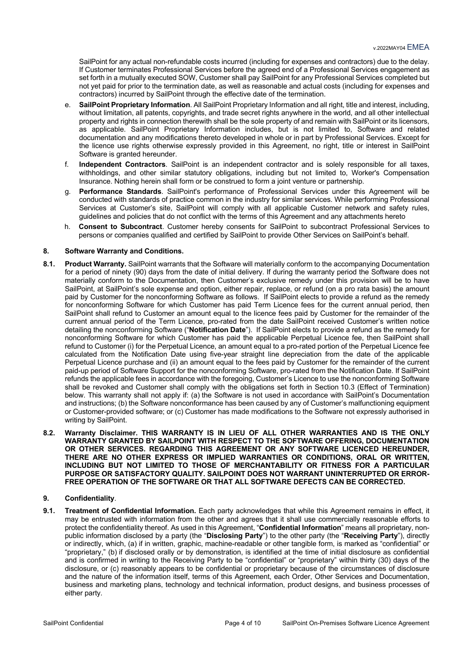SailPoint for any actual non-refundable costs incurred (including for expenses and contractors) due to the delay. If Customer terminates Professional Services before the agreed end of a Professional Services engagement as set forth in a mutually executed SOW, Customer shall pay SailPoint for any Professional Services completed but not yet paid for prior to the termination date, as well as reasonable and actual costs (including for expenses and contractors) incurred by SailPoint through the effective date of the termination.

- e. **SailPoint Proprietary Information**. All SailPoint Proprietary Information and all right, title and interest, including, without limitation, all patents, copyrights, and trade secret rights anywhere in the world, and all other intellectual property and rights in connection therewith shall be the sole property of and remain with SailPoint or its licensors, as applicable. SailPoint Proprietary Information includes, but is not limited to, Software and related documentation and any modifications thereto developed in whole or in part by Professional Services. Except for the licence use rights otherwise expressly provided in this Agreement, no right, title or interest in SailPoint Software is granted hereunder.
- f. **Independent Contractors**. SailPoint is an independent contractor and is solely responsible for all taxes, withholdings, and other similar statutory obligations, including but not limited to, Worker's Compensation Insurance. Nothing herein shall form or be construed to form a joint venture or partnership.
- g. **Performance Standards**. SailPoint's performance of Professional Services under this Agreement will be conducted with standards of practice common in the industry for similar services. While performing Professional Services at Customer's site, SailPoint will comply with all applicable Customer network and safety rules, guidelines and policies that do not conflict with the terms of this Agreement and any attachments hereto
- h. **Consent to Subcontract**. Customer hereby consents for SailPoint to subcontract Professional Services to persons or companies qualified and certified by SailPoint to provide Other Services on SailPoint's behalf.

#### **8. Software Warranty and Conditions.**

- **8.1. Product Warranty.** SailPoint warrants that the Software will materially conform to the accompanying Documentation for a period of ninety (90) days from the date of initial delivery. If during the warranty period the Software does not materially conform to the Documentation, then Customer's exclusive remedy under this provision will be to have SailPoint, at SailPoint's sole expense and option, either repair, replace, or refund (on a pro rata basis) the amount paid by Customer for the nonconforming Software as follows. If SailPoint elects to provide a refund as the remedy for nonconforming Software for which Customer has paid Term Licence fees for the current annual period, then SailPoint shall refund to Customer an amount equal to the licence fees paid by Customer for the remainder of the current annual period of the Term Licence, pro-rated from the date SailPoint received Customer's written notice detailing the nonconforming Software ("**Notification Date**"). If SailPoint elects to provide a refund as the remedy for nonconforming Software for which Customer has paid the applicable Perpetual Licence fee, then SailPoint shall refund to Customer (i) for the Perpetual Licence, an amount equal to a pro-rated portion of the Perpetual Licence fee calculated from the Notification Date using five-year straight line depreciation from the date of the applicable Perpetual Licence purchase and (ii) an amount equal to the fees paid by Customer for the remainder of the current paid-up period of Software Support for the nonconforming Software, pro-rated from the Notification Date. If SailPoint refunds the applicable fees in accordance with the foregoing, Customer's Licence to use the nonconforming Software shall be revoked and Customer shall comply with the obligations set forth in Section 10.3 (Effect of Termination) below. This warranty shall not apply if: (a) the Software is not used in accordance with SailPoint's Documentation and instructions; (b) the Software nonconformance has been caused by any of Customer's malfunctioning equipment or Customer-provided software; or (c) Customer has made modifications to the Software not expressly authorised in writing by SailPoint.
- **8.2. Warranty Disclaimer. THIS WARRANTY IS IN LIEU OF ALL OTHER WARRANTIES AND IS THE ONLY WARRANTY GRANTED BY SAILPOINT WITH RESPECT TO THE SOFTWARE OFFERING, DOCUMENTATION OR OTHER SERVICES. REGARDING THIS AGREEMENT OR ANY SOFTWARE LICENCED HEREUNDER, THERE ARE NO OTHER EXPRESS OR IMPLIED WARRANTIES OR CONDITIONS, ORAL OR WRITTEN, INCLUDING BUT NOT LIMITED TO THOSE OF MERCHANTABILITY OR FITNESS FOR A PARTICULAR PURPOSE OR SATISFACTORY QUALITY. SAILPOINT DOES NOT WARRANT UNINTERRUPTED OR ERROR-FREE OPERATION OF THE SOFTWARE OR THAT ALL SOFTWARE DEFECTS CAN BE CORRECTED.**

# **9. Confidentiality**.

**9.1. Treatment of Confidential Information.** Each party acknowledges that while this Agreement remains in effect, it may be entrusted with information from the other and agrees that it shall use commercially reasonable efforts to protect the confidentiality thereof. As used in this Agreement, "**Confidential Information**" means all proprietary, nonpublic information disclosed by a party (the "**Disclosing Party**") to the other party (the "**Receiving Party**"), directly or indirectly, which, (a) if in written, graphic, machine-readable or other tangible form, is marked as "confidential" or "proprietary," (b) if disclosed orally or by demonstration, is identified at the time of initial disclosure as confidential and is confirmed in writing to the Receiving Party to be "confidential" or "proprietary" within thirty (30) days of the disclosure, or (c) reasonably appears to be confidential or proprietary because of the circumstances of disclosure and the nature of the information itself, terms of this Agreement, each Order, Other Services and Documentation, business and marketing plans, technology and technical information, product designs, and business processes of either party.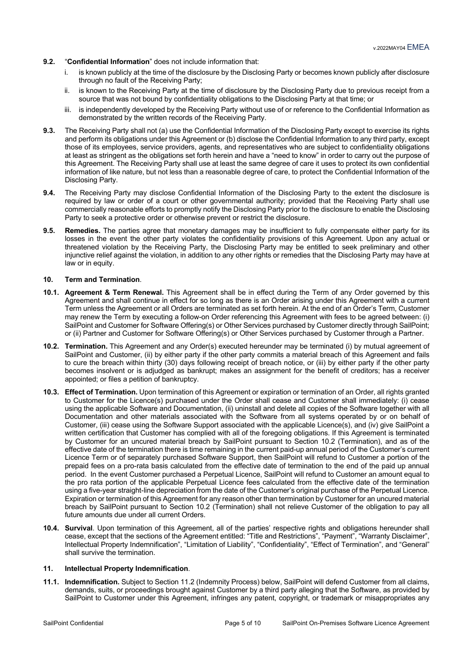- **9.2.** "**Confidential Information**" does not include information that:
	- i. is known publicly at the time of the disclosure by the Disclosing Party or becomes known publicly after disclosure through no fault of the Receiving Party;
	- ii. is known to the Receiving Party at the time of disclosure by the Disclosing Party due to previous receipt from a source that was not bound by confidentiality obligations to the Disclosing Party at that time; or
	- iii. is independently developed by the Receiving Party without use of or reference to the Confidential Information as demonstrated by the written records of the Receiving Party.
- **9.3.** The Receiving Party shall not (a) use the Confidential Information of the Disclosing Party except to exercise its rights and perform its obligations under this Agreement or (b) disclose the Confidential Information to any third party, except those of its employees, service providers, agents, and representatives who are subject to confidentiality obligations at least as stringent as the obligations set forth herein and have a "need to know" in order to carry out the purpose of this Agreement. The Receiving Party shall use at least the same degree of care it uses to protect its own confidential information of like nature, but not less than a reasonable degree of care, to protect the Confidential Information of the Disclosing Party.
- **9.4.** The Receiving Party may disclose Confidential Information of the Disclosing Party to the extent the disclosure is required by law or order of a court or other governmental authority; provided that the Receiving Party shall use commercially reasonable efforts to promptly notify the Disclosing Party prior to the disclosure to enable the Disclosing Party to seek a protective order or otherwise prevent or restrict the disclosure.
- **9.5. Remedies.** The parties agree that monetary damages may be insufficient to fully compensate either party for its losses in the event the other party violates the confidentiality provisions of this Agreement. Upon any actual or threatened violation by the Receiving Party, the Disclosing Party may be entitled to seek preliminary and other injunctive relief against the violation, in addition to any other rights or remedies that the Disclosing Party may have at law or in equity.

#### **10. Term and Termination**.

- **10.1. Agreement & Term Renewal.** This Agreement shall be in effect during the Term of any Order governed by this Agreement and shall continue in effect for so long as there is an Order arising under this Agreement with a current Term unless the Agreement or all Orders are terminated as set forth herein. At the end of an Order's Term, Customer may renew the Term by executing a follow-on Order referencing this Agreement with fees to be agreed between: (i) SailPoint and Customer for Software Offering(s) or Other Services purchased by Customer directly through SailPoint: or (ii) Partner and Customer for Software Offering(s) or Other Services purchased by Customer through a Partner.
- **10.2. Termination.** This Agreement and any Order(s) executed hereunder may be terminated (i) by mutual agreement of SailPoint and Customer, (ii) by either party if the other party commits a material breach of this Agreement and fails to cure the breach within thirty (30) days following receipt of breach notice, or (iii) by either party if the other party becomes insolvent or is adjudged as bankrupt; makes an assignment for the benefit of creditors; has a receiver appointed; or files a petition of bankruptcy.
- **10.3. Effect of Termination.** Upon termination of this Agreement or expiration or termination of an Order, all rights granted to Customer for the Licence(s) purchased under the Order shall cease and Customer shall immediately: (i) cease using the applicable Software and Documentation, (ii) uninstall and delete all copies of the Software together with all Documentation and other materials associated with the Software from all systems operated by or on behalf of Customer, (iii) cease using the Software Support associated with the applicable Licence(s), and (iv) give SailPoint a written certification that Customer has complied with all of the foregoing obligations. If this Agreement is terminated by Customer for an uncured material breach by SailPoint pursuant to Section 10.2 (Termination), and as of the effective date of the termination there is time remaining in the current paid-up annual period of the Customer's current Licence Term or of separately purchased Software Support, then SailPoint will refund to Customer a portion of the prepaid fees on a pro-rata basis calculated from the effective date of termination to the end of the paid up annual period. In the event Customer purchased a Perpetual Licence, SailPoint will refund to Customer an amount equal to the pro rata portion of the applicable Perpetual Licence fees calculated from the effective date of the termination using a five-year straight-line depreciation from the date of the Customer's original purchase of the Perpetual Licence. Expiration or termination of this Agreement for any reason other than termination by Customer for an uncured material breach by SailPoint pursuant to Section 10.2 (Termination) shall not relieve Customer of the obligation to pay all future amounts due under all current Orders.
- **10.4. Survival**. Upon termination of this Agreement, all of the parties' respective rights and obligations hereunder shall cease, except that the sections of the Agreement entitled: "Title and Restrictions", "Payment", "Warranty Disclaimer", Intellectual Property Indemnification", "Limitation of Liability", "Confidentiality", "Effect of Termination", and "General" shall survive the termination.

#### **11. Intellectual Property Indemnification**.

**11.1. Indemnification.** Subject to Section 11.2 (Indemnity Process) below, SailPoint will defend Customer from all claims, demands, suits, or proceedings brought against Customer by a third party alleging that the Software, as provided by SailPoint to Customer under this Agreement, infringes any patent, copyright, or trademark or misappropriates any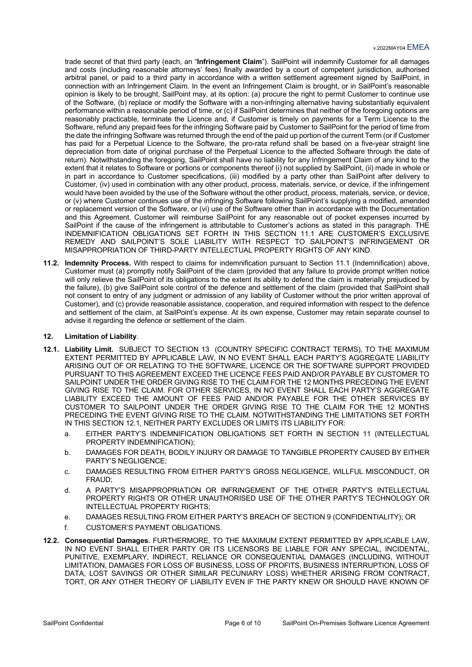trade secret of that third party (each, an "**Infringement Claim**"). SailPoint will indemnify Customer for all damages and costs (including reasonable attorneys' fees) finally awarded by a court of competent jurisdiction, authorised arbitral panel, or paid to a third party in accordance with a written settlement agreement signed by SailPoint, in connection with an Infringement Claim. In the event an Infringement Claim is brought, or in SailPoint's reasonable opinion is likely to be brought, SailPoint may, at its option: (a) procure the right to permit Customer to continue use of the Software, (b) replace or modify the Software with a non-infringing alternative having substantially equivalent performance within a reasonable period of time, or (c) if SailPoint determines that neither of the foregoing options are reasonably practicable, terminate the Licence and, if Customer is timely on payments for a Term Licence to the Software, refund any prepaid fees for the infringing Software paid by Customer to SailPoint for the period of time from the date the infringing Software was returned through the end of the paid up portion of the current Term (or if Customer has paid for a Perpetual Licence to the Software, the pro-rata refund shall be based on a five-year straight line depreciation from date of original purchase of the Perpetual Licence to the affected Software through the date of return). Notwithstanding the foregoing, SailPoint shall have no liability for any Infringement Claim of any kind to the extent that it relates to Software or portions or components thereof (i) not supplied by SailPoint, (ii) made in whole or in part in accordance to Customer specifications, (iii) modified by a party other than SailPoint after delivery to Customer, (iv) used in combination with any other product, process, materials, service, or device, if the infringement would have been avoided by the use of the Software without the other product, process, materials, service, or device, or (v) where Customer continues use of the infringing Software following SailPoint's supplying a modified, amended or replacement version of the Software, or (vi) use of the Software other than in accordance with the Documentation and this Agreement. Customer will reimburse SailPoint for any reasonable out of pocket expenses incurred by SailPoint if the cause of the infringement is attributable to Customer's actions as stated in this paragraph. THE INDEMNIFICATION OBLIGATIONS SET FORTH IN THIS SECTION 11.1 ARE CUSTOMER'S EXCLUSIVE REMEDY AND SAILPOINT'S SOLE LIABILITY WITH RESPECT TO SAILPOINT'S INFRINGEMENT OR MISAPPROPRIATION OF THIRD-PARTY INTELLECTUAL PROPERTY RIGHTS OF ANY KIND.

**11.2. Indemnity Process.** With respect to claims for indemnification pursuant to Section 11.1 (Indemnification) above, Customer must (a) promptly notify SailPoint of the claim (provided that any failure to provide prompt written notice will only relieve the SailPoint of its obligations to the extent its ability to defend the claim is materially prejudiced by the failure), (b) give SailPoint sole control of the defence and settlement of the claim (provided that SailPoint shall not consent to entry of any judgment or admission of any liability of Customer without the prior written approval of Customer), and (c) provide reasonable assistance, cooperation, and required information with respect to the defence and settlement of the claim, at SailPoint's expense. At its own expense, Customer may retain separate counsel to advise it regarding the defence or settlement of the claim.

#### **12. Limitation of Liability**.

- **12.1. Liability Limit.** SUBJECT TO SECTION 13 (COUNTRY SPECIFIC CONTRACT TERMS), TO THE MAXIMUM EXTENT PERMITTED BY APPLICABLE LAW, IN NO EVENT SHALL EACH PARTY'S AGGREGATE LIABILITY ARISING OUT OF OR RELATING TO THE SOFTWARE, LICENCE OR THE SOFTWARE SUPPORT PROVIDED PURSUANT TO THIS AGREEMENT EXCEED THE LICENCE FEES PAID AND/OR PAYABLE BY CUSTOMER TO SAILPOINT UNDER THE ORDER GIVING RISE TO THE CLAIM FOR THE 12 MONTHS PRECEDING THE EVENT GIVING RISE TO THE CLAIM. FOR OTHER SERVICES, IN NO EVENT SHALL EACH PARTY'S AGGREGATE LIABILITY EXCEED THE AMOUNT OF FEES PAID AND/OR PAYABLE FOR THE OTHER SERVICES BY CUSTOMER TO SAILPOINT UNDER THE ORDER GIVING RISE TO THE CLAIM FOR THE 12 MONTHS PRECEDING THE EVENT GIVING RISE TO THE CLAIM. NOTWITHSTANDING THE LIMITATIONS SET FORTH IN THIS SECTION 12.1, NEITHER PARTY EXCLUDES OR LIMITS ITS LIABILITY FOR:
	- a. EITHER PARTY'S INDEMNIFICATION OBLIGATIONS SET FORTH IN SECTION 11 (INTELLECTUAL PROPERTY INDEMNIFICATION);
	- b. DAMAGES FOR DEATH, BODILY INJURY OR DAMAGE TO TANGIBLE PROPERTY CAUSED BY EITHER PARTY'S NEGLIGENCE;
	- c. DAMAGES RESULTING FROM EITHER PARTY'S GROSS NEGLIGENCE, WILLFUL MISCONDUCT, OR FRAUD;
	- d. A PARTY'S MISAPPROPRIATION OR INFRINGEMENT OF THE OTHER PARTY'S INTELLECTUAL PROPERTY RIGHTS OR OTHER UNAUTHORISED USE OF THE OTHER PARTY'S TECHNOLOGY OR INTELLECTUAL PROPERTY RIGHTS;
	- e. DAMAGES RESULTING FROM EITHER PARTY'S BREACH OF SECTION 9 (CONFIDENTIALITY); OR
	- f. CUSTOMER'S PAYMENT OBLIGATIONS.
- **12.2. Consequential Damages.** FURTHERMORE, TO THE MAXIMUM EXTENT PERMITTED BY APPLICABLE LAW, IN NO EVENT SHALL EITHER PARTY OR ITS LICENSORS BE LIABLE FOR ANY SPECIAL, INCIDENTAL, PUNITIVE, EXEMPLARY, INDIRECT, RELIANCE OR CONSEQUENTIAL DAMAGES (INCLUDING, WITHOUT LIMITATION, DAMAGES FOR LOSS OF BUSINESS, LOSS OF PROFITS, BUSINESS INTERRUPTION, LOSS OF DATA, LOST SAVINGS OR OTHER SIMILAR PECUNIARY LOSS) WHETHER ARISING FROM CONTRACT, TORT, OR ANY OTHER THEORY OF LIABILITY EVEN IF THE PARTY KNEW OR SHOULD HAVE KNOWN OF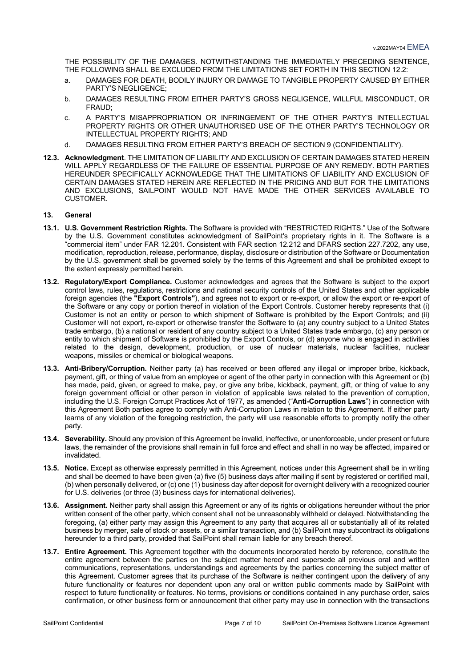THE POSSIBILITY OF THE DAMAGES. NOTWITHSTANDING THE IMMEDIATELY PRECEDING SENTENCE, THE FOLLOWING SHALL BE EXCLUDED FROM THE LIMITATIONS SET FORTH IN THIS SECTION 12.2:

- a. DAMAGES FOR DEATH, BODILY INJURY OR DAMAGE TO TANGIBLE PROPERTY CAUSED BY EITHER PARTY'S NEGLIGENCE;
- b. DAMAGES RESULTING FROM EITHER PARTY'S GROSS NEGLIGENCE, WILLFUL MISCONDUCT, OR FRAUD;
- c. A PARTY'S MISAPPROPRIATION OR INFRINGEMENT OF THE OTHER PARTY'S INTELLECTUAL PROPERTY RIGHTS OR OTHER UNAUTHORISED USE OF THE OTHER PARTY'S TECHNOLOGY OR INTELLECTUAL PROPERTY RIGHTS; AND
- d. DAMAGES RESULTING FROM EITHER PARTY'S BREACH OF SECTION 9 (CONFIDENTIALITY).
- **12.3. Acknowledgment**. THE LIMITATION OF LIABILITY AND EXCLUSION OF CERTAIN DAMAGES STATED HEREIN WILL APPLY REGARDLESS OF THE FAILURE OF ESSENTIAL PURPOSE OF ANY REMEDY. BOTH PARTIES HEREUNDER SPECIFICALLY ACKNOWLEDGE THAT THE LIMITATIONS OF LIABILITY AND EXCLUSION OF CERTAIN DAMAGES STATED HEREIN ARE REFLECTED IN THE PRICING AND BUT FOR THE LIMITATIONS AND EXCLUSIONS, SAILPOINT WOULD NOT HAVE MADE THE OTHER SERVICES AVAILABLE TO **CUSTOMER**

# **13. General**

- **13.1. U.S. Government Restriction Rights.** The Software is provided with "RESTRICTED RIGHTS." Use of the Software by the U.S. Government constitutes acknowledgment of SailPoint's proprietary rights in it. The Software is a "commercial item" under FAR 12.201. Consistent with FAR section 12.212 and DFARS section 227.7202, any use, modification, reproduction, release, performance, display, disclosure or distribution of the Software or Documentation by the U.S. government shall be governed solely by the terms of this Agreement and shall be prohibited except to the extent expressly permitted herein.
- **13.2. Regulatory/Export Compliance.** Customer acknowledges and agrees that the Software is subject to the export control laws, rules, regulations, restrictions and national security controls of the United States and other applicable foreign agencies (the **"Export Controls"**), and agrees not to export or re-export, or allow the export or re-export of the Software or any copy or portion thereof in violation of the Export Controls. Customer hereby represents that (i) Customer is not an entity or person to which shipment of Software is prohibited by the Export Controls; and (ii) Customer will not export, re-export or otherwise transfer the Software to (a) any country subject to a United States trade embargo, (b) a national or resident of any country subject to a United States trade embargo, (c) any person or entity to which shipment of Software is prohibited by the Export Controls, or (d) anyone who is engaged in activities related to the design, development, production, or use of nuclear materials, nuclear facilities, nuclear weapons, missiles or chemical or biological weapons.
- **13.3. Anti-Bribery/Corruption.** Neither party (a) has received or been offered any illegal or improper bribe, kickback, payment, gift, or thing of value from an employee or agent of the other party in connection with this Agreement or (b) has made, paid, given, or agreed to make, pay, or give any bribe, kickback, payment, gift, or thing of value to any foreign government official or other person in violation of applicable laws related to the prevention of corruption, including the U.S. Foreign Corrupt Practices Act of 1977, as amended ("**Anti-Corruption Laws**") in connection with this Agreement Both parties agree to comply with Anti-Corruption Laws in relation to this Agreement. If either party learns of any violation of the foregoing restriction, the party will use reasonable efforts to promptly notify the other party.
- **13.4. Severability.** Should any provision of this Agreement be invalid, ineffective, or unenforceable, under present or future laws, the remainder of the provisions shall remain in full force and effect and shall in no way be affected, impaired or invalidated.
- **13.5. Notice.** Except as otherwise expressly permitted in this Agreement, notices under this Agreement shall be in writing and shall be deemed to have been given (a) five (5) business days after mailing if sent by registered or certified mail, (b) when personally delivered, or (c) one (1) business day after deposit for overnight delivery with a recognized courier for U.S. deliveries (or three (3) business days for international deliveries).
- **13.6. Assignment.** Neither party shall assign this Agreement or any of its rights or obligations hereunder without the prior written consent of the other party, which consent shall not be unreasonably withheld or delayed. Notwithstanding the foregoing, (a) either party may assign this Agreement to any party that acquires all or substantially all of its related business by merger, sale of stock or assets, or a similar transaction, and (b) SailPoint may subcontract its obligations hereunder to a third party, provided that SailPoint shall remain liable for any breach thereof.
- **13.7. Entire Agreement.** This Agreement together with the documents incorporated hereto by reference, constitute the entire agreement between the parties on the subject matter hereof and supersede all previous oral and written communications, representations, understandings and agreements by the parties concerning the subject matter of this Agreement. Customer agrees that its purchase of the Software is neither contingent upon the delivery of any future functionality or features nor dependent upon any oral or written public comments made by SailPoint with respect to future functionality or features. No terms, provisions or conditions contained in any purchase order, sales confirmation, or other business form or announcement that either party may use in connection with the transactions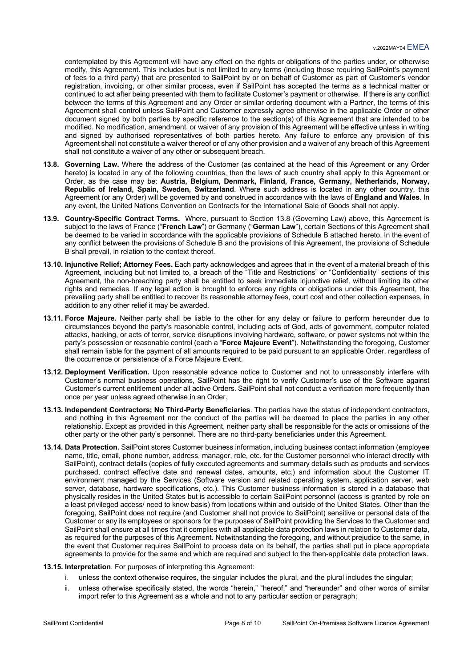contemplated by this Agreement will have any effect on the rights or obligations of the parties under, or otherwise modify, this Agreement. This includes but is not limited to any terms (including those requiring SailPoint's payment of fees to a third party) that are presented to SailPoint by or on behalf of Customer as part of Customer's vendor registration, invoicing, or other similar process, even if SailPoint has accepted the terms as a technical matter or continued to act after being presented with them to facilitate Customer's payment or otherwise. If there is any conflict between the terms of this Agreement and any Order or similar ordering document with a Partner, the terms of this Agreement shall control unless SailPoint and Customer expressly agree otherwise in the applicable Order or other document signed by both parties by specific reference to the section(s) of this Agreement that are intended to be modified. No modification, amendment, or waiver of any provision of this Agreement will be effective unless in writing and signed by authorised representatives of both parties hereto. Any failure to enforce any provision of this Agreement shall not constitute a waiver thereof or of any other provision and a waiver of any breach of this Agreement shall not constitute a waiver of any other or subsequent breach.

- **13.8. Governing Law.** Where the address of the Customer (as contained at the head of this Agreement or any Order hereto) is located in any of the following countries, then the laws of such country shall apply to this Agreement or Order, as the case may be: **Austria, Belgium, Denmark, Finland, France, Germany, Netherlands, Norway, Republic of Ireland, Spain, Sweden, Switzerland**. Where such address is located in any other country, this Agreement (or any Order) will be governed by and construed in accordance with the laws of **England and Wales**. In any event, the United Nations Convention on Contracts for the International Sale of Goods shall not apply.
- **13.9. Country-Specific Contract Terms.** Where, pursuant to Section 13.8 (Governing Law) above, this Agreement is subject to the laws of France ("**French Law**") or Germany ("**German Law**"), certain Sections of this Agreement shall be deemed to be varied in accordance with the applicable provisions of Schedule B attached hereto. In the event of any conflict between the provisions of Schedule B and the provisions of this Agreement, the provisions of Schedule B shall prevail, in relation to the context thereof.
- **13.10. Injunctive Relief; Attorney Fees.** Each party acknowledges and agrees that in the event of a material breach of this Agreement, including but not limited to, a breach of the "Title and Restrictions" or "Confidentiality" sections of this Agreement, the non-breaching party shall be entitled to seek immediate injunctive relief, without limiting its other rights and remedies. If any legal action is brought to enforce any rights or obligations under this Agreement, the prevailing party shall be entitled to recover its reasonable attorney fees, court cost and other collection expenses, in addition to any other relief it may be awarded.
- **13.11. Force Majeure.** Neither party shall be liable to the other for any delay or failure to perform hereunder due to circumstances beyond the party's reasonable control, including acts of God, acts of government, computer related attacks, hacking, or acts of terror, service disruptions involving hardware, software, or power systems not within the party's possession or reasonable control (each a "**Force Majeure Event**"). Notwithstanding the foregoing, Customer shall remain liable for the payment of all amounts required to be paid pursuant to an applicable Order, regardless of the occurrence or persistence of a Force Majeure Event.
- **13.12. Deployment Verification.** Upon reasonable advance notice to Customer and not to unreasonably interfere with Customer's normal business operations, SailPoint has the right to verify Customer's use of the Software against Customer's current entitlement under all active Orders. SailPoint shall not conduct a verification more frequently than once per year unless agreed otherwise in an Order.
- **13.13. Independent Contractors; No Third-Party Beneficiaries**. The parties have the status of independent contractors, and nothing in this Agreement nor the conduct of the parties will be deemed to place the parties in any other relationship. Except as provided in this Agreement, neither party shall be responsible for the acts or omissions of the other party or the other party's personnel. There are no third-party beneficiaries under this Agreement.
- **13.14. Data Protection.** SailPoint stores Customer business information, including business contact information (employee name, title, email, phone number, address, manager, role, etc. for the Customer personnel who interact directly with SailPoint), contract details (copies of fully executed agreements and summary details such as products and services purchased, contract effective date and renewal dates, amounts, etc.) and information about the Customer IT environment managed by the Services (Software version and related operating system, application server, web server, database, hardware specifications, etc.). This Customer business information is stored in a database that physically resides in the United States but is accessible to certain SailPoint personnel (access is granted by role on a least privileged access/ need to know basis) from locations within and outside of the United States. Other than the foregoing, SailPoint does not require (and Customer shall not provide to SailPoint) sensitive or personal data of the Customer or any its employees or sponsors for the purposes of SailPoint providing the Services to the Customer and SailPoint shall ensure at all times that it complies with all applicable data protection laws in relation to Customer data, as required for the purposes of this Agreement. Notwithstanding the foregoing, and without prejudice to the same, in the event that Customer requires SailPoint to process data on its behalf, the parties shall put in place appropriate agreements to provide for the same and which are required and subject to the then-applicable data protection laws.

# **13.15. Interpretation**. For purposes of interpreting this Agreement:

- i. unless the context otherwise requires, the singular includes the plural, and the plural includes the singular;
- ii. unless otherwise specifically stated, the words "herein," "hereof," and "hereunder" and other words of similar import refer to this Agreement as a whole and not to any particular section or paragraph;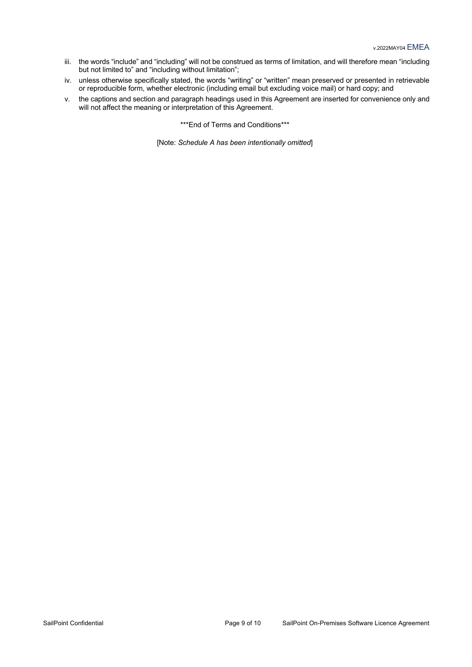- iii. the words "include" and "including" will not be construed as terms of limitation, and will therefore mean "including but not limited to" and "including without limitation";
- iv. unless otherwise specifically stated, the words "writing" or "written" mean preserved or presented in retrievable or reproducible form, whether electronic (including email but excluding voice mail) or hard copy; and
- v. the captions and section and paragraph headings used in this Agreement are inserted for convenience only and will not affect the meaning or interpretation of this Agreement.

\*\*\*End of Terms and Conditions\*\*\*

[Note: *Schedule A has been intentionally omitted*]